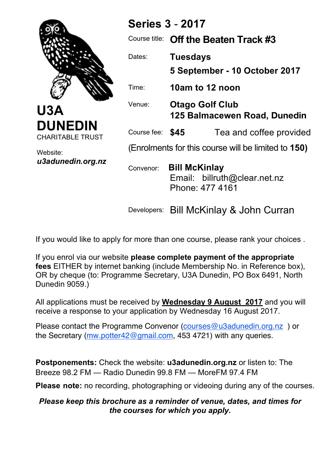

**U3A DUNEDIN** CHARITABLE TRUST

Website: *u3adunedin.org.nz*

| <b>Series 3 - 2017</b>                              |                                                        |                                                 |  |  |
|-----------------------------------------------------|--------------------------------------------------------|-------------------------------------------------|--|--|
| Course title:                                       |                                                        | Off the Beaten Track #3                         |  |  |
| Dates:                                              | <b>Tuesdays</b>                                        | 5 September - 10 October 2017                   |  |  |
| Time:                                               | 10am to 12 noon                                        |                                                 |  |  |
| Venue:                                              | <b>Otago Golf Club</b><br>125 Balmacewen Road, Dunedin |                                                 |  |  |
| Course fee: <b>\$45</b>                             |                                                        | Tea and coffee provided                         |  |  |
| (Enrolments for this course will be limited to 150) |                                                        |                                                 |  |  |
| Convenor:                                           | <b>Bill McKinlay</b>                                   | Email: billruth@clear.net.nz<br>Phone: 477 4161 |  |  |

Developers: Bill McKinlay & John Curran

If you would like to apply for more than one course, please rank your choices .

If you enrol via our website **please complete payment of the appropriate fees** EITHER by internet banking (include Membership No. in Reference box), OR by cheque (to: Programme Secretary, U3A Dunedin, PO Box 6491, North Dunedin 9059.)

All applications must be received by **Wednesday 9 August 2017** and you will receive a response to your application by Wednesday 16 August 2017.

Please contact the Programme Convenor (courses@u3adunedin.org.nz ) or the Secretary (mw.potter42@gmail.com, 453 4721) with any queries.

**Postponements:** Check the website: **u3adunedin.org.nz** or listen to: The Breeze 98.2 FM — Radio Dunedin 99.8 FM — MoreFM 97.4 FM

**Please note:** no recording, photographing or videoing during any of the courses.

## *Please keep this brochure as a reminder of venue, dates, and times for the courses for which you apply.*